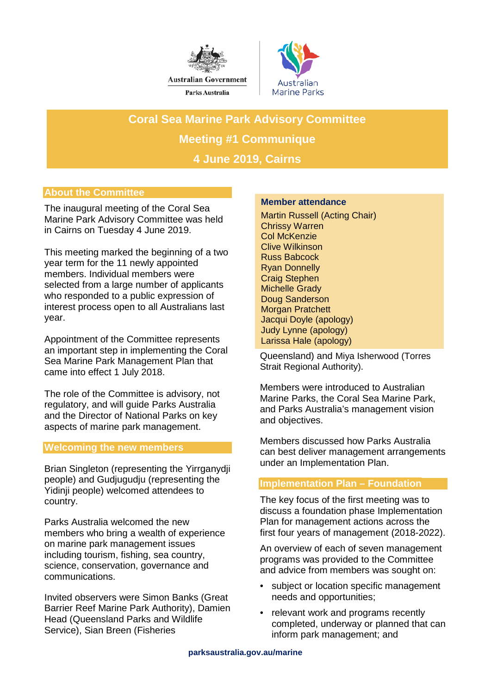



**Coral Sea Marine Park Advisory Committee Meeting #1 Communique 4 June 2019, Cairns** 

# **About the Committee**

The inaugural meeting of the Coral Sea Marine Park Advisory Committee was held in Cairns on Tuesday 4 June 2019.

This meeting marked the beginning of a two year term for the 11 newly appointed members. Individual members were selected from a large number of applicants who responded to a public expression of interest process open to all Australians last year.

Appointment of the Committee represents an important step in implementing the Coral Sea Marine Park Management Plan that came into effect 1 July 2018.

The role of the Committee is advisory, not regulatory, and will guide Parks Australia and the Director of National Parks on key aspects of marine park management.

# **Welcoming the new members**

Brian Singleton (representing the Yirrganydji people) and Gudjugudju (representing the Yidinji people) welcomed attendees to country.

Parks Australia welcomed the new members who bring a wealth of experience on marine park management issues including tourism, fishing, sea country, science, conservation, governance and communications.

Invited observers were Simon Banks (Great Barrier Reef Marine Park Authority), Damien Head (Queensland Parks and Wildlife Service), Sian Breen (Fisheries

#### **Member attendance**

Martin Russell (Acting Chair) Chrissy Warren Col McKenzie Clive Wilkinson Russ Babcock Ryan Donnelly Craig Stephen Michelle Grady Doug Sanderson Morgan Pratchett Jacqui Doyle (apology) Judy Lynne (apology) Larissa Hale (apology)

Queensland) and Miya Isherwood (Torres Strait Regional Authority).

Members were introduced to Australian Marine Parks, the Coral Sea Marine Park, and Parks Australia's management vision and objectives.

Members discussed how Parks Australia can best deliver management arrangements under an Implementation Plan.

# **Implementation Plan – Foundation**

The key focus of the first meeting was to discuss a foundation phase Implementation Plan for management actions across the first four years of management (2018-2022).

An overview of each of seven management programs was provided to the Committee and advice from members was sought on:

- subject or location specific management needs and opportunities;
- relevant work and programs recently completed, underway or planned that can inform park management; and